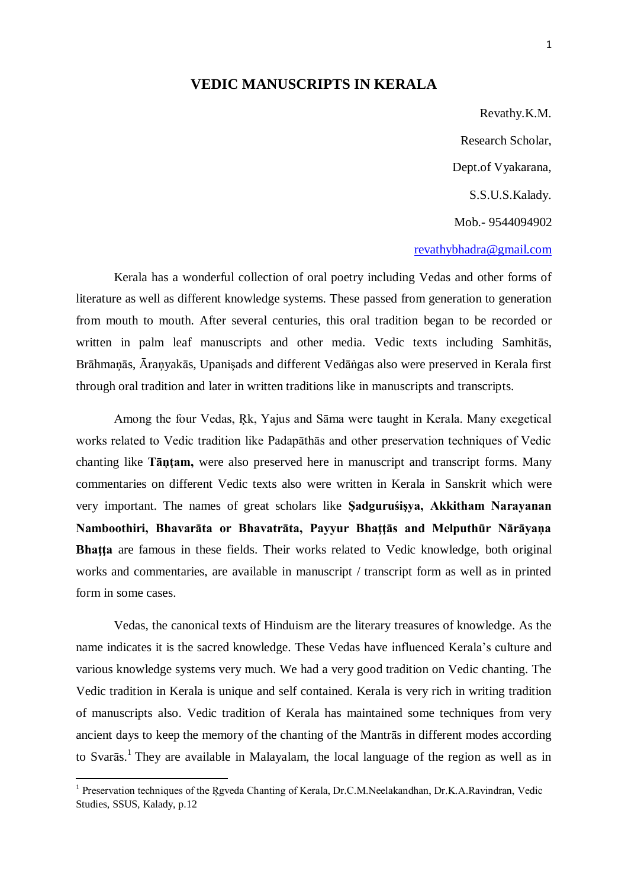## **VEDIC MANUSCRIPTS IN KERALA**

Revathy.K.M. Research Scholar, Dept.of Vyakarana, S.S.U.S.Kalady. Mob.- 9544094902

## [revathybhadra@gmail.com](mailto:revathybhadra@gmail.com)

Kerala has a wonderful collection of oral poetry including Vedas and other forms of literature as well as different knowledge systems. These passed from generation to generation from mouth to mouth. After several centuries, this oral tradition began to be recorded or written in palm leaf manuscripts and other media. Vedic texts including Samhitās, Brāhmaņās, Āraņyakās, Upanişads and different Vedāṅgas also were preserved in Kerala first through oral tradition and later in written traditions like in manuscripts and transcripts.

Among the four Vedas, Ŗk, Yajus and Sāma were taught in Kerala. Many exegetical works related to Vedic tradition like Padapāthās and other preservation techniques of Vedic chanting like **Tāņţam,** were also preserved here in manuscript and transcript forms. Many commentaries on different Vedic texts also were written in Kerala in Sanskrit which were very important. The names of great scholars like **Şadguruśişya, Akkitham Narayanan Namboothiri, Bhavarāta or Bhavatrāta, Payyur Bhaţţās and Melputhūr Nārāyaņa Bhatta** are famous in these fields. Their works related to Vedic knowledge, both original works and commentaries, are available in manuscript / transcript form as well as in printed form in some cases.

Vedas, the canonical texts of Hinduism are the literary treasures of knowledge. As the name indicates it is the sacred knowledge. These Vedas have influenced Kerala"s culture and various knowledge systems very much. We had a very good tradition on Vedic chanting. The Vedic tradition in Kerala is unique and self contained. Kerala is very rich in writing tradition of manuscripts also. Vedic tradition of Kerala has maintained some techniques from very ancient days to keep the memory of the chanting of the Mantrās in different modes according to Svarās. 1 They are available in Malayalam, the local language of the region as well as in

<sup>&</sup>lt;sup>1</sup> Preservation techniques of the Rgveda Chanting of Kerala, Dr.C.M.Neelakandhan, Dr.K.A.Ravindran, Vedic Studies, SSUS, Kalady, p.12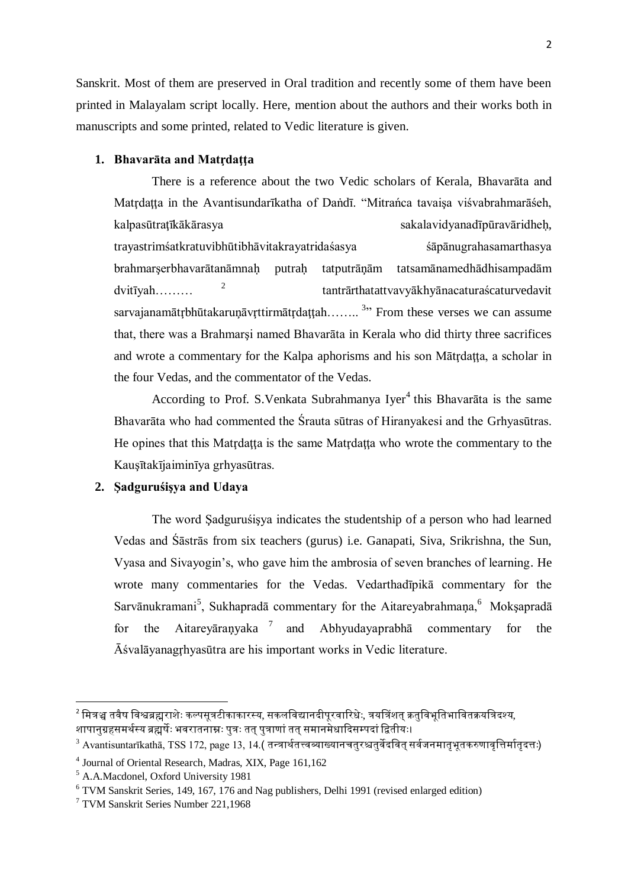Sanskrit. Most of them are preserved in Oral tradition and recently some of them have been printed in Malayalam script locally. Here, mention about the authors and their works both in manuscripts and some printed, related to Vedic literature is given.

## **1. Bhavarāta and Matŗdaţţa**

There is a reference about the two Vedic scholars of Kerala, Bhavarāta and Matrdatta in the Avantisundarīkatha of Daṅdī. "Mitrańca tavaisa viśvabrahmarāśeh, kalpasūtratīkākārasya sakalavidyanadīpūravāridheh, trayastrimśatkratuvibhūtibhāvitakrayatridaśasya śāpānugrahasamarthasya brahmarşerbhavarātanāmnaḥ putraḥ tatputrāņām tatsamānamedhādhisampadām dvitīyah………  $2^{2}$  tantrārthatattvavyākhyānacaturaścaturvedavit sarvajanamātŗbhūtakaruņāvŗttirmātŗdaţţah….... <sup>3</sup>" From these verses we can assume that, there was a Brahmarşi named Bhavarāta in Kerala who did thirty three sacrifices and wrote a commentary for the Kalpa aphorisms and his son Mātrdatta, a scholar in the four Vedas, and the commentator of the Vedas.

According to Prof. S. Venkata Subrahmanya Iyer<sup>4</sup> this Bhavarāta is the same Bhavarāta who had commented the Śrauta sūtras of Hiranyakesi and the Grhyasūtras. He opines that this Matrdatta is the same Matrdatta who wrote the commentary to the Kauşītakījaiminīya grhyasūtras.

## **2. Şadguruśişya and Udaya**

The word Şadguruśişya indicates the studentship of a person who had learned Vedas and Śāstrās from six teachers (gurus) i.e. Ganapati, Siva, Srikrishna, the Sun, Vyasa and Sivayogin"s, who gave him the ambrosia of seven branches of learning. He wrote many commentaries for the Vedas. Vedarthadīpikā commentary for the Sarvānukramani<sup>5</sup>, Sukhapradā commentary for the Aitareyabrahmaņa,<sup>6</sup> Moksapradā for the Aitareyāraņyaka<sup>7</sup> and Abhyudayaprabhā commentary for the Āśvalāyanagŗhyasūtra are his important works in Vedic literature.

 $^{\text{2}}$ मित्रञ्च तवैष विश्वब्रह्मराशेः कल्पसूत्रटीकाकारस्य, सकलविद्यानदीपूरवारिधेः, त्रयत्रिंशत् क्रतुविभूतिभावितक्रयत्रिदश्य, शापानुग्रहसमर्थस्य ब्रह्मर्षेः भवरातनाम्नः पुत्रः तत् पुत्राणां तत् समानमेधादिसम्पदां द्वितीयः।

 $3$  Avantisuntarīkathā, TSS 172, page 13, 14.( तन्त्रार्थतत्त्वव्याख्यानचतुरश्चतुर्वेदवित् सर्वजनमातृभूतकरुणावृत्तिर्मातृदत्तः)

<sup>4</sup> Journal of Oriental Research, Madras, XIX, Page 161,162

<sup>5</sup> A.A.Macdonel, Oxford University 1981

<sup>6</sup> TVM Sanskrit Series, 149, 167, 176 and Nag publishers, Delhi 1991 (revised enlarged edition)

<sup>7</sup> TVM Sanskrit Series Number 221,1968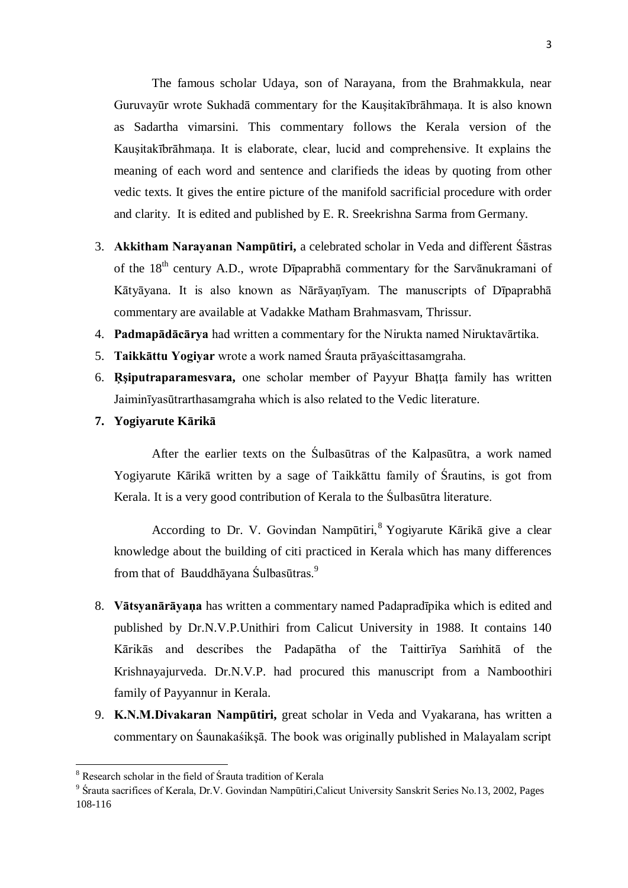The famous scholar Udaya, son of Narayana, from the Brahmakkula, near Guruvayūr wrote Sukhadā commentary for the Kauşitakībrāhmaņa. It is also known as Sadartha vimarsini. This commentary follows the Kerala version of the Kauşitakībrāhmaņa. It is elaborate, clear, lucid and comprehensive. It explains the meaning of each word and sentence and clarifieds the ideas by quoting from other vedic texts. It gives the entire picture of the manifold sacrificial procedure with order and clarity. It is edited and published by E. R. Sreekrishna Sarma from Germany.

- 3. **Akkitham Narayanan Nampūtiri,** a celebrated scholar in Veda and different Śāstras of the  $18<sup>th</sup>$  century A.D., wrote Dīpaprabhā commentary for the Sarvānukramani of Kātyāyana. It is also known as Nārāyaņīyam. The manuscripts of Dīpaprabhā commentary are available at Vadakke Matham Brahmasvam, Thrissur.
- 4. **Padmapādācārya** had written a commentary for the Nirukta named Niruktavārtika.
- 5. **Taikkāttu Yogiyar** wrote a work named Śrauta prāyaścittasamgraha.
- 6. **Rsiputraparamesvara,** one scholar member of Payyur Bhatta family has written Jaiminīyasūtrarthasamgraha which is also related to the Vedic literature.
- **7. Yogiyarute Kārikā**

After the earlier texts on the Śulbasūtras of the Kalpasūtra, a work named Yogiyarute Kārikā written by a sage of Taikkāttu family of Śrautins, is got from Kerala. It is a very good contribution of Kerala to the Śulbasūtra literature.

According to Dr. V. Govindan Nampūtiri,<sup>8</sup> Yogiyarute Kārikā give a clear knowledge about the building of citi practiced in Kerala which has many differences from that of Bauddhāyana Śulbasūtras.<sup>9</sup>

- 8. **Vātsyanārāyaņa** has written a commentary named Padapradīpika which is edited and published by Dr.N.V.P.Unithiri from Calicut University in 1988. It contains 140 Kārikās and describes the Padapātha of the Taittirīya Saṁhitā of the Krishnayajurveda. Dr.N.V.P. had procured this manuscript from a Namboothiri family of Payyannur in Kerala.
- 9. **K.N.M.Divakaran Nampūtiri,** great scholar in Veda and Vyakarana, has written a commentary on Śaunakaśikşā. The book was originally published in Malayalam script

**.** 

<sup>8</sup> Research scholar in the field of Śrauta tradition of Kerala

<sup>&</sup>lt;sup>9</sup> Śrauta sacrifices of Kerala, Dr.V. Govindan Nampūtiri, Calicut University Sanskrit Series No.13, 2002, Pages 108-116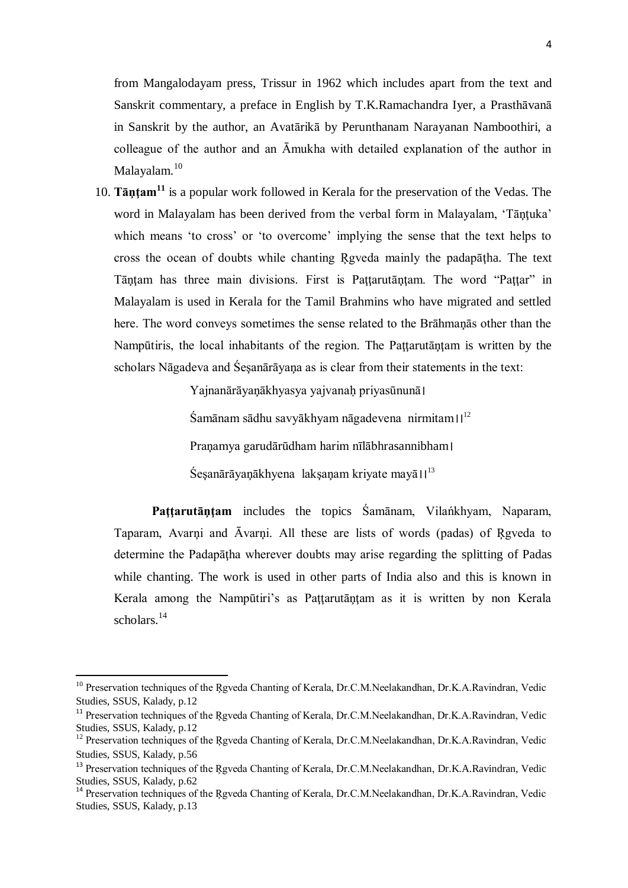from Mangalodayam press, Trissur in 1962 which includes apart from the text and Sanskrit commentary, a preface in English by T.K.Ramachandra Iyer, a Prasthāvanā in Sanskrit by the author, an Avatārikā by Perunthanam Narayanan Namboothiri, a colleague of the author and an Āmukha with detailed explanation of the author in Malayalam. 10

10. **Tāņţam<sup>11</sup>** is a popular work followed in Kerala for the preservation of the Vedas. The word in Malayalam has been derived from the verbal form in Malayalam, 'Tāntuka' which means 'to cross' or 'to overcome' implying the sense that the text helps to cross the ocean of doubts while chanting Rgveda mainly the padapātha. The text Tāņtam has three main divisions. First is Pattarutāņtam. The word "Pattar" in Malayalam is used in Kerala for the Tamil Brahmins who have migrated and settled here. The word conveys sometimes the sense related to the Brāhmaņās other than the Nampūtiris, the local inhabitants of the region. The Pattarutāntam is written by the scholars Nāgadeva and Śeşanārāyaņa as is clear from their statements in the text:

> Yajnanārāyaņākhyasya yajvanaḥ priyasūnunā।  $\text{Samānam }$ sādhu savyākhyam nāgadevena nirmitam $\text{II}^{\text{12}}$ Praņamya garudārūdham harim nīlābhrasannibham।  $\text{Sesanārāvanākhyena }$  laksanam krivate mayā $\text{II}^{13}$

**Paţţarutāņţam** includes the topics Śamānam, Vilańkhyam, Naparam, Taparam, Avarņi and Āvarņi. All these are lists of words (padas) of Ŗgveda to determine the Padapāṭha wherever doubts may arise regarding the splitting of Padas while chanting. The work is used in other parts of India also and this is known in Kerala among the Nampūtiri's as Pattarutāņtam as it is written by non Kerala scholars.<sup>14</sup>

-

<sup>&</sup>lt;sup>10</sup> Preservation techniques of the Rgveda Chanting of Kerala, Dr.C.M.Neelakandhan, Dr.K.A.Ravindran, Vedic Studies, SSUS, Kalady, p.12

<sup>&</sup>lt;sup>11</sup> Preservation techniques of the Rgveda Chanting of Kerala, Dr.C.M.Neelakandhan, Dr.K.A.Ravindran, Vedic Studies, SSUS, Kalady, p.12

<sup>&</sup>lt;sup>12</sup> Preservation techniques of the Rgveda Chanting of Kerala, Dr.C.M.Neelakandhan, Dr.K.A.Ravindran, Vedic Studies, SSUS, Kalady, p.56

<sup>&</sup>lt;sup>13</sup> Preservation techniques of the Rgveda Chanting of Kerala, Dr.C.M.Neelakandhan, Dr.K.A.Ravindran, Vedic Studies, SSUS, Kalady, p.62

<sup>&</sup>lt;sup>14</sup> Preservation techniques of the Rgveda Chanting of Kerala, Dr.C.M.Neelakandhan, Dr.K.A.Ravindran, Vedic Studies, SSUS, Kalady, p.13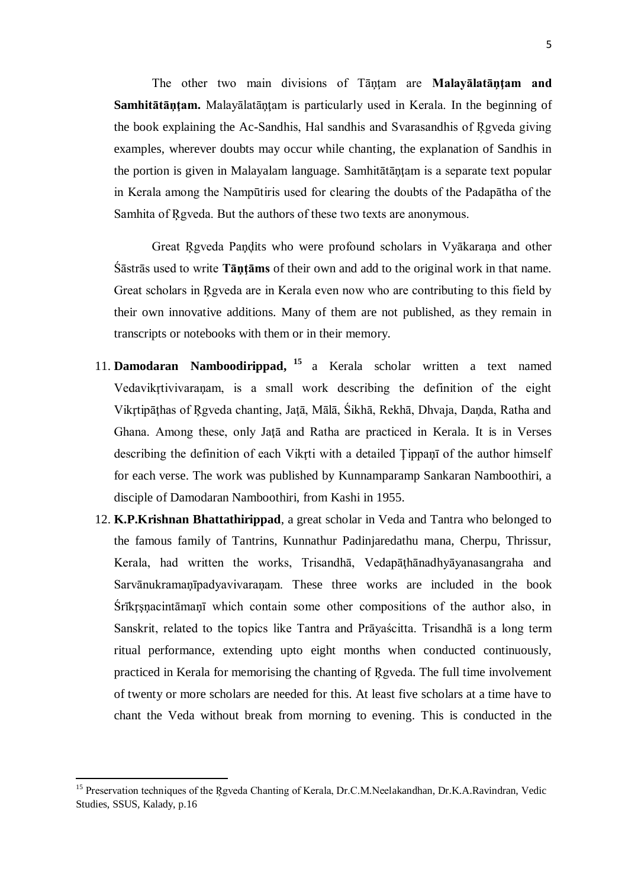The other two main divisions of Tāņțam are Malay**ālatāņțam and Samhitātāņțam.** Malayālatāņțam is particularly used in Kerala. In the beginning of the book explaining the Ac-Sandhis, Hal sandhis and Svarasandhis of Ŗgveda giving examples, wherever doubts may occur while chanting, the explanation of Sandhis in the portion is given in Malayalam language. Samhitātāntam is a separate text popular in Kerala among the Nampūtiris used for clearing the doubts of the Padapātha of the Samhita of Ŗgveda. But the authors of these two texts are anonymous.

Great Ŗgveda Paņḑits who were profound scholars in Vyākaraņa and other Śāstrās used to write **Tāņţāms** of their own and add to the original work in that name. Great scholars in Ŗgveda are in Kerala even now who are contributing to this field by their own innovative additions. Many of them are not published, as they remain in transcripts or notebooks with them or in their memory.

- 11. **Damodaran Namboodirippad, <sup>15</sup>** a Kerala scholar written a text named Vedavikrtivivaranam, is a small work describing the definition of the eight Vikrtipāthas of Rgveda chanting, Jatā, Mālā, Śikhā, Rekhā, Dhvaja, Danda, Ratha and Ghana. Among these, only Jata and Ratha are practiced in Kerala. It is in Verses describing the definition of each Vikrti with a detailed Tippan<sub>i</sub> of the author himself for each verse. The work was published by Kunnamparamp Sankaran Namboothiri, a disciple of Damodaran Namboothiri, from Kashi in 1955.
- 12. **K.P.Krishnan Bhattathirippad**, a great scholar in Veda and Tantra who belonged to the famous family of Tantrins, Kunnathur Padinjaredathu mana, Cherpu, Thrissur, Kerala, had written the works, Trisandhā, Vedapāṭhānadhyāyanasangraha and Sarvānukramaņīpadyavivaraņam. These three works are included in the book Srīkrsnacintāmanī which contain some other compositions of the author also, in Sanskrit, related to the topics like Tantra and Prāyaścitta. Trisandhā is a long term ritual performance, extending upto eight months when conducted continuously, practiced in Kerala for memorising the chanting of Ŗgveda. The full time involvement of twenty or more scholars are needed for this. At least five scholars at a time have to chant the Veda without break from morning to evening. This is conducted in the

<sup>&</sup>lt;sup>15</sup> Preservation techniques of the Rgveda Chanting of Kerala, Dr.C.M.Neelakandhan, Dr.K.A.Ravindran, Vedic Studies, SSUS, Kalady, p.16